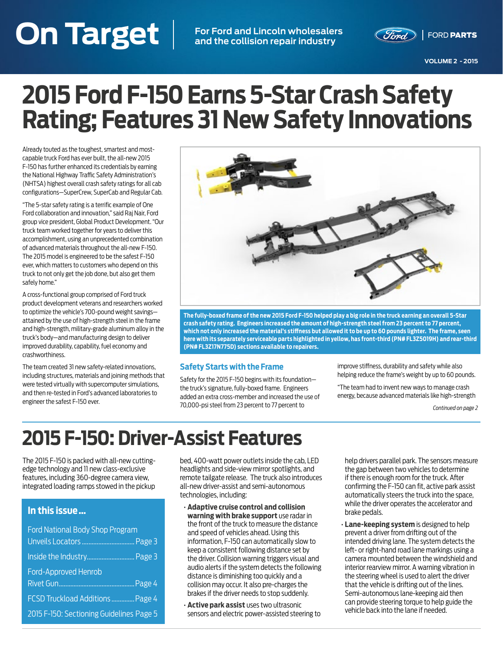# <span id="page-0-0"></span>**On Target VOLUME 2 - 2015 On Target For Ford and Lincoln wholesalers**

**and the collision repair industry**



# **2015 Ford F-150 Earns 5-Star Crash Safety Rating; Features 31 New Safety Innovations**

Already touted as the toughest, smartest and mostcapable truck Ford has ever built, the all-new 2015 F-150 has further enhanced its credentials by earning the National Highway Traffic Safety Administration's (NHTSA) highest overall crash safety ratings for all cab configurations—SuperCrew, SuperCab and Regular Cab.

"The 5-star safety rating is a terrific example of One Ford collaboration and innovation," said Raj Nair, Ford group vice president, Global Product Development. "Our truck team worked together for years to deliver this accomplishment, using an unprecedented combination of advanced materials throughout the all-new F-150. The 2015 model is engineered to be the safest F-150 ever, which matters to customers who depend on this truck to not only get the job done, but also get them safely home."

A cross-functional group comprised of Ford truck product development veterans and researchers worked to optimize the vehicle's 700-pound weight savings attained by the use of high-strength steel in the frame and high-strength, military-grade aluminum alloy in the truck's body—and manufacturing design to deliver improved durability, capability, fuel economy and crashworthiness.

The team created 31 new safety-related innovations, including structures, materials and joining methods that were tested virtually with supercomputer simulations, and then re-tested in Ford's advanced laboratories to engineer the safest F-150 ever.



**The fully-boxed frame of the new 2015 Ford F-150 helped play a big role in the truck earning an overall 5-Star crash safety rating. Engineers increased the amount of high-strength steel from 23 percent to 77 percent, which not only increased the material's stiffness but allowed it to be up to 60 pounds lighter. The frame, seen here with its separately serviceable parts highlighted in yellow, has front-third (PN# FL3Z5019H) and rear-third (PN# FL3Z17N775D) sections available to repairers.**

#### **Safety Starts with the Frame**

Safety for the 2015 F-150 begins with its foundation the truck's signature, fully-boxed frame. Engineers added an extra cross-member and increased the use of 70,000-psi steel from 23 percent to 77 percent to

improve stiffness, durability and safety while also helping reduce the frame's weight by up to 60 pounds.

"The team had to invent new ways to manage crash energy, because advanced materials like high-strength

*[Continued on page 2](#page-1-0)*

# **2015 F-150: Driver-Assist Features**

The 2015 F-150 is packed with all-new cuttingedge technology and 11 new class-exclusive features, including 360-degree camera view, integrated loading ramps stowed in the pickup

#### **In this issue …**

| Ford National Body Shop Program          |  |
|------------------------------------------|--|
|                                          |  |
|                                          |  |
| <b>Ford-Approved Henrob</b>              |  |
|                                          |  |
| FCSD Truckload Additions  Page 4         |  |
| 2015 F-150: Sectioning Guidelines Page 5 |  |

bed, 400-watt power outlets inside the cab, LED headlights and side-view mirror spotlights, and remote tailgate release. The truck also introduces all-new driver-assist and semi-autonomous technologies, including:

- **Adaptive cruise control and collision warning with brake support** use radar in the front of the truck to measure the distance and speed of vehicles ahead. Using this information, F-150 can automatically slow to keep a consistent following distance set by the driver. Collision warning triggers visual and audio alerts if the system detects the following distance is diminishing too quickly and a collision may occur. It also pre-charges the brakes if the driver needs to stop suddenly.
- **Active park assist** uses two ultrasonic sensors and electric power-assisted steering to

help drivers parallel park. The sensors measure the gap between two vehicles to determine if there is enough room for the truck. After confirming the F-150 can fit, active park assist automatically steers the truck into the space, while the driver operates the accelerator and brake pedals.

• **Lane-keeping system** is designed to help prevent a driver from drifting out of the intended driving lane. The system detects the left- or right-hand road lane markings using a camera mounted between the windshield and interior rearview mirror. A warning vibration in the steering wheel is used to alert the driver that the vehicle is drifting out of the lines. Semi-autonomous lane-keeping aid then can provide steering torque to help guide the vehicle back into the lane if needed.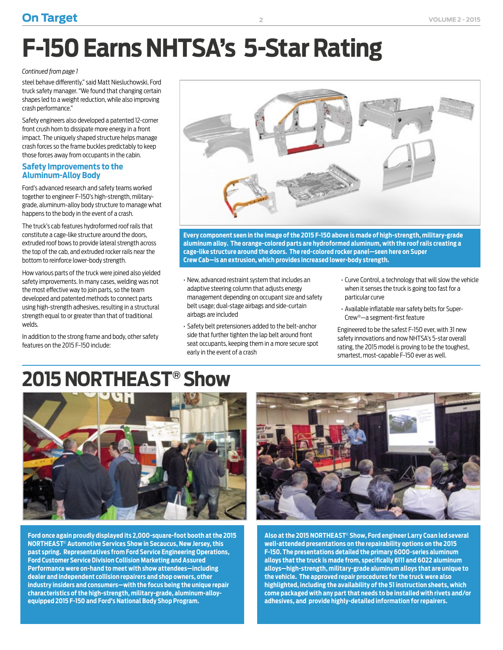# <span id="page-1-0"></span>**F-150 Earns NHTSA's 5-Star Rating**

**2**

#### *[Continued from page 1](#page-0-0)*

steel behave differently," said Matt Niesluchowski, Ford truck safety manager. "We found that changing certain shapes led to a weight reduction, while also improving crash performance."

Safety engineers also developed a patented 12-corner front crush horn to dissipate more energy in a front impact. The uniquely shaped structure helps manage crash forces so the frame buckles predictably to keep those forces away from occupants in the cabin.

#### **Safety Improvements to the Aluminum-Alloy Body**

Ford's advanced research and safety teams worked together to engineer F-150's high-strength, militarygrade, aluminum-alloy body structure to manage what happens to the body in the event of a crash.

The truck's cab features hydroformed roof rails that constitute a cage-like structure around the doors, extruded roof bows to provide lateral strength across the top of the cab, and extruded rocker rails near the bottom to reinforce lower-body strength.

How various parts of the truck were joined also yielded safety improvements. In many cases, welding was not the most effective way to join parts, so the team developed and patented methods to connect parts using high-strength adhesives, resulting in a structural strength equal to or greater than that of traditional welds.

In addition to the strong frame and body, other safety features on the 2015 F-150 include:



**Every component seen in the image of the 2015 F-150 above is made of high-strength, military-grade aluminum alloy. The orange-colored parts are hydroformed aluminum, with the roof rails creating a cage-like structure around the doors. The red-colored rocker panel—seen here on Super Crew Cab—is an extrusion, which provides increased lower-body strength.**

- New, advanced restraint system that includes an adaptive steering column that adjusts energy management depending on occupant size and safety belt usage; dual-stage airbags and side-curtain airbags are included
- Safety belt pretensioners added to the belt-anchor side that further tighten the lap belt around front seat occupants, keeping them in a more secure spot early in the event of a crash
- Curve Control, a technology that will slow the vehicle when it senses the truck is going too fast for a particular curve
- Available inflatable rear safety belts for Super-Crew®—a segment-first feature

Engineered to be the safest F-150 ever, with 31 new safety innovations and now NHTSA's 5-star overall rating, the 2015 model is proving to be the toughest, smartest, most-capable F-150 ever as well.

# **2015 NORTHEAST® Show**



**Ford once again proudly displayed its 2,000-square-foot booth at the 2015 NORTHEAST**® **Automotive Services Show in Secaucus, New Jersey, this past spring. Representatives from Ford Service Engineering Operations, Ford Customer Service Division Collision Marketing and Assured Performance were on-hand to meet with show attendees—including dealer and independent collision repairers and shop owners, other industry insiders and consumers—with the focus being the unique repair characteristics of the high-strength, military-grade, aluminum-alloyequipped 2015 F-150 and Ford's National Body Shop Program.** 



**Also at the 2015 NORTHEAST**® **Show, Ford engineer Larry Coan led several well-attended presentations on the repairability options on the 2015 F-150. The presentations detailed the primary 6000-series aluminum alloys that the truck is made from, specifically 6111 and 6022 aluminum alloys—high-strength, military-grade aluminum alloys that are unique to the vehicle. The approved repair procedures for the truck were also highlighted, including the availability of the 51 instruction sheets, which come packaged with any part that needs to be installed with rivets and/or adhesives, and provide highly-detailed information for repairers.**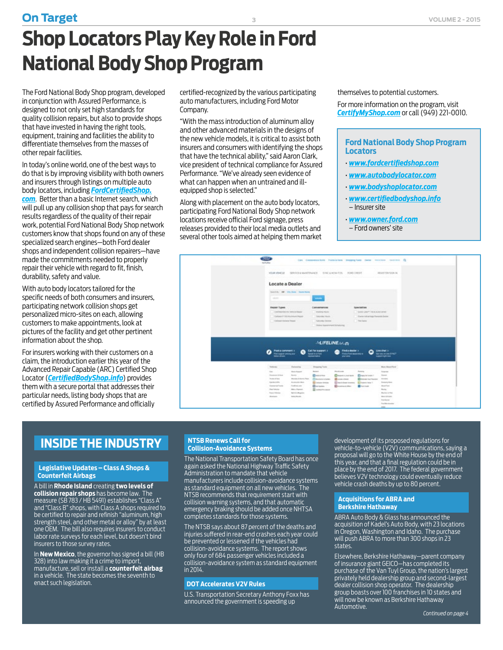<span id="page-2-0"></span>The Ford National Body Shop program, developed in conjunction with Assured Performance, is designed to not only set high standards for quality collision repairs, but also to provide shops that have invested in having the right tools, equipment, training and facilities the ability to differentiate themselves from the masses of other repair facilities.

In today's online world, one of the best ways to do that is by improving visibility with both owners and insurers through listings on multiple auto body locators, including *[FordCertifiedShop.](http://www.fordcertifiedshop.com/) [com](http://www.fordcertifiedshop.com/)*. Better than a basic Internet search, which will pull up any collision shop that pays for search results regardless of the quality of their repair work, potential Ford National Body Shop network customers know that shops found on any of these specialized search engines—both Ford dealer shops and independent collision repairers—have made the commitments needed to properly repair their vehicle with regard to fit, finish, durability, safety and value.

With auto body locators tailored for the specific needs of both consumers and insurers, participating network collision shops get personalized micro-sites on each, allowing customers to make appointments, look at pictures of the facility and get other pertinent information about the shop.

For insurers working with their customers on a claim, the introduction earlier this year of the Advanced Repair Capable (ARC) Certified Shop Locator (*[CertifiedBodyShop.info](http://www.certifiedbodyshop.info)*) provides them with a secure portal that addresses their particular needs, listing body shops that are certified by Assured Performance and officially

certified-recognized by the various participating auto manufacturers, including Ford Motor Company.

"With the mass introduction of aluminum alloy and other advanced materials in the designs of the new vehicle models, it is critical to assist both insurers and consumers with identifying the shops that have the technical ability," said Aaron Clark, vice president of technical compliance for Assured Performance. "We've already seen evidence of what can happen when an untrained and illequipped shop is selected."

Along with placement on the auto body locators, participating Ford National Body Shop network locations receive official Ford signage, press releases provided to their local media outlets and several other tools aimed at helping them market

themselves to potential customers. For more information on the program, visit *[CertifyMyShop.com](http://www.certifymyshop.com/)* or call (949) 221-0010.

#### **Ford National Body Shop Program Locators**

- *[www.fordcertifiedshop.com](http://www.fordcertifiedshop.com/)*
- *[www.autobodylocator.com](http://www.autobodylocator.com)*
- *[www.bodyshoplocator.com](http://www.bodyshoplocator.com)*
- *[www.certifiedbodyshop.info](http://www.certifiedbodyshop.info)* – Insurer site
- *[www.owner.ford.com](http://www.owner.ford.com/dealer-locator.html#/)*
- Ford owners' site



### **INSIDE THE INDUSTRY**

#### **Legislative Updates – Class A Shops & Counterfeit Airbags**

A bill in **Rhode Island** creating **two levels of collision repair shops** has become law. The measure (SB 783 / HB 5491) establishes "Class A" and "Class B" shops, with Class A shops required to be certified to repair and refinish "aluminum, high strength steel, and other metal or alloy" by at least one OEM. The bill also requires insurers to conduct labor rate surveys for each level, but doesn't bind insurers to those survey rates.

In **New Mexico**, the governor has signed a bill (HB 328) into law making it a crime to import, manufacture, sell or install a **counterfeit airbag** in a vehicle. The state becomes the seventh to enact such legislation.

#### **NTSB Renews Call for Collision-Avoidance Systems**

The National Transportation Safety Board has once again asked the National Highway Traffic Safety Administration to mandate that vehicle manufacturers include collision-avoidance systems as standard equipment on all new vehicles. The NTSB recommends that requirement start with collision warning systems, and that automatic emergency braking should be added once NHTSA completes standards for those systems.

The NTSB says about 87 percent of the deaths and injuries suffered in rear-end crashes each year could be prevented or lessened if the vehicles had collision-avoidance systems. The report shows only four of 684 passenger vehicles included a collision-avoidance system as standard equipment in 2014.

#### **DOT Accelerates V2V Rules**

U.S. Transportation Secretary Anthony Foxx has announced the government is speeding up

development of its proposed regulations for vehicle-to-vehicle (V2V) communications, saying a proposal will go to the White House by the end of this year, and that a final regulation could be in place by the end of 2017. The federal government believes V2V technology could eventually reduce vehicle crash deaths by up to 80 percent.

#### **Acquisitions for ABRA and Berkshire Hathaway**

ABRA Auto Body & Glass has announced the acquisition of Kadel's Auto Body, with 23 locations in Oregon, Washington and Idaho. The purchase will push ABRA to more than 300 shops in 23 states.

Elsewhere, Berkshire Hathaway—parent company of insurance giant GEICO—has completed its purchase of the Van Tuyl Group, the nation's largest privately held dealership group and second-largest dealer collision shop operator. The dealership group boasts over 100 franchises in 10 states and will now be known as Berkshire Hathaway Automotive.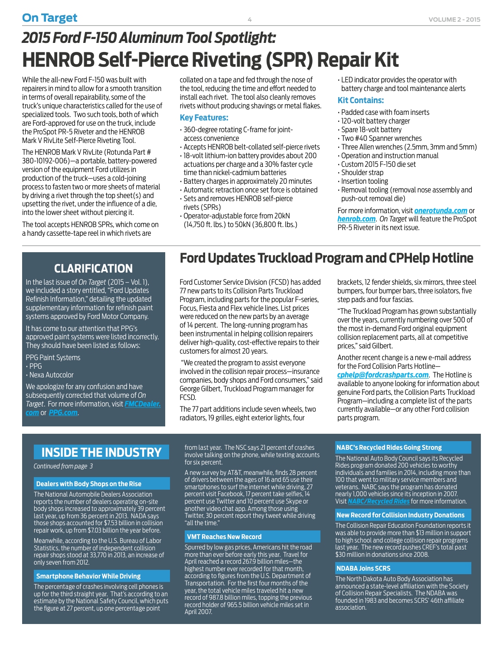<span id="page-3-0"></span>While the all-new Ford F-150 was built with repairers in mind to allow for a smooth transition in terms of overall repairability, some of the truck's unique characteristics called for the use of specialized tools. Two such tools, both of which are Ford-approved for use on the truck, include the ProSpot PR-5 Riveter and the HENROB Mark V RivLite Self-Pierce Riveting Tool.

The HENROB Mark V RivLite (Rotunda Part # 380-10192-006)—a portable, battery-powered version of the equipment Ford utilizes in production of the truck—uses a cold-joining process to fasten two or more sheets of material by driving a rivet through the top sheet(s) and upsetting the rivet, under the influence of a die, into the lower sheet without piercing it.

The tool accepts HENROB SPRs, which come on a handy cassette-tape reel in which rivets are

collated on a tape and fed through the nose of the tool, reducing the time and effort needed to install each rivet. The tool also cleanly removes rivets without producing shavings or metal flakes.

#### **Key Features:**

- 360-degree rotating C-frame for jointaccess convenience
- Accepts HENROB belt-collated self-pierce rivets
- 18-volt lithium-ion battery provides about 200 actuations per charge and a 30% faster cycle time than nickel-cadmium batteries
- Battery charges in approximately 20 minutes
- Automatic retraction once set force is obtained • Sets and removes HENROB self-pierce

Ford Customer Service Division (FCSD) has added 77 new parts to its Collision Parts Truckload Program, including parts for the popular F-series, Focus, Fiesta and Flex vehicle lines. List prices were reduced on the new parts by an average of 14 percent. The long-running program has been instrumental in helping collision repairers deliver high-quality, cost-effective repairs to their

 "We created the program to assist everyone involved in the collision repair process—insurance companies, body shops and Ford consumers," said George Gilbert, Truckload Program manager for

- rivets (SPRs) • Operator-adjustable force from 20kN
- (14,750 ft. lbs.) to 50kN (36,800 ft. lbs.)

• LED indicator provides the operator with battery charge and tool maintenance alerts

#### **Kit Contains:**

- Padded case with foam inserts
- 120-volt battery charger
- Spare 18-volt battery
- Two #40 Spanner wrenches
- Three Allen wrenches (2.5mm, 3mm and 5mm)
- Operation and instruction manual
- Custom 2015 F-150 die set
- Shoulder strap
- Insertion tooling
- Removal tooling (removal nose assembly and push-out removal die)

For more information, visit *[onerotunda.com](http://www.onerotunda.com)* or *[henrob.com](http://www.henrob.com)*. *On Target* will feature the ProSpot PR-5 Riveter in its next issue.

### **CLARIFICATION**

In the last issue of *On Target* (2015 – Vol. 1), we included a story entitled, "Ford Updates Refinish Information," detailing the updated supplementary information for refinish paint systems approved by Ford Motor Company.

It has come to our attention that PPG's approved paint systems were listed incorrectly. They should have been listed as follows:

PPG Paint Systems

• PPG

• Nexa Autocolor

We apologize for any confusion and have subsequently corrected that volume of *On Target*. For more information, visit *[FMCDealer.](https://www.wslx.dealerconnection.com) [com](https://www.wslx.dealerconnection.com)* or *[PPG.com](http://www.PPG.com)*.

### **INSIDE THE INDUSTRY**

*[Continued from page 3](#page-2-0)*

#### **Dealers with Body Shops on the Rise**

The National Automobile Dealers Association reports the number of dealers operating on-site body shops increased to approximately 39 percent last year, up from 36 percent in 2013. NADA says those shops accounted for \$7.53 billion in collision repair work, up from \$7.03 billion the year before.

Meanwhile, according to the U.S. Bureau of Labor Statistics, the number of independent collision repair shops stood at 33,770 in 2013, an increase of only seven from 2012.

#### **Smartphone Behavior While Driving**

The percentage of crashes involving cell phones is up for the third straight year. That's according to an estimate by the National Safety Council, which puts the figure at 27 percent, up one percentage point

from last year. The NSC says 21 percent of crashes involve talking on the phone, while texting accounts for six percent.

The 77 part additions include seven wheels, two radiators, 19 grilles, eight exterior lights, four

A new survey by AT&T, meanwhile, finds 28 percent of drivers between the ages of 16 and 65 use their smartphones to surf the internet while driving, 27 percent visit Facebook, 17 percent take selfies, 14 percent use Twitter and 10 percent use Skype or another video chat app. Among those using Twitter, 30 percent report they tweet while driving "all the time."

#### **VMT Reaches New Record**

customers for almost 20 years.

FCSD.

Spurred by low gas prices, Americans hit the road more than ever before early this year. Travel for April reached a record 267.9 billion miles—the highest number ever recorded for that month, according to figures from the U.S. Department of Transportation. For the first four months of the year, the total vehicle miles traveled hit a new record of 987.8 billion miles, topping the previous record holder of 965.5 billion vehicle miles set in April 2007.

brackets, 12 fender shields, six mirrors, three steel bumpers, four bumper bars, three isolators, five step pads and four fascias.

"The Truckload Program has grown substantially over the years, currently numbering over 500 of the most in-demand Ford original equipment collision replacement parts, all at competitive prices," said Gilbert.

Another recent change is a new e-mail address for the Ford Collision Parts Hotline—

*[cphelp@fordcrashparts.com](mailto:cphelp@fordcrashparts.com)*. The Hotline is available to anyone looking for information about genuine Ford parts, the Collision Parts Truckload Program—including a complete list of the parts currently available—or any other Ford collision parts program.

#### **NABC's Recycled Rides Going Strong**

The National Auto Body Council says its Recycled Rides program donated 200 vehicles to worthy individuals and families in 2014, including more than 100 that went to military service members and veterans. NABC says the program has donated nearly 1,000 vehicles since its inception in 2007. Visit *[NABC/Recycled Rides](http://www.nationalautobodycouncil.org/programs/recycled-rides/)* for more information.

#### **New Record for Collision Industry Donations**

The Collision Repair Education Foundation reports it was able to provide more than \$13 million in support to high school and college collision repair programs last year. The new record pushes CREF's total past \$30 million in donations since 2008.

#### **NDABA Joins SCRS**

The North Dakota Auto Body Association has announced a state-level affiliation with the Society of Collision Repair Specialists. The NDABA was founded in 1983 and becomes SCRS' 46th affiliate association.

### **Ford Updates Truckload Program and CPHelp Hotline**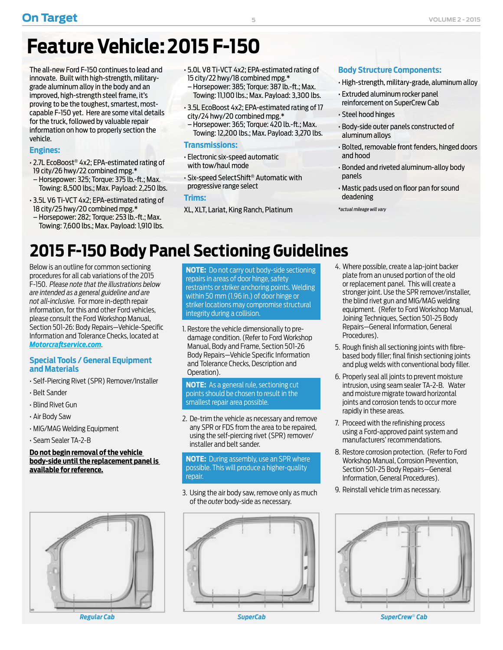# <span id="page-4-0"></span>**Feature Vehicle: 2015 F-150**

The all-new Ford F-150 continues to lead and innovate. Built with high-strength, militarygrade aluminum alloy in the body and an improved, high-strength steel frame, it's proving to be the toughest, smartest, mostcapable F-150 yet. Here are some vital details for the truck, followed by valuable repair information on how to properly section the vehicle.

#### **Engines:**

- 2.7L EcoBoost® 4x2; EPA-estimated rating of 19 city/26 hwy/22 combined mpg.\*
- Horsepower: 325; Torque: 375 lb.-ft.; Max. Towing: 8,500 lbs.; Max. Payload: 2,250 lbs.
- 3.5L V6 Ti-VCT 4x2; EPA-estimated rating of 18 city/25 hwy/20 combined mpg.\*
- Horsepower: 282; Torque: 253 lb.-ft.; Max. Towing: 7,600 lbs.; Max. Payload: 1,910 lbs.
- 5.0L V8 Ti-VCT 4x2; EPA-estimated rating of 15 city/22 hwy/18 combined mpg.\*
- Horsepower: 385; Torque: 387 lb.-ft.; Max. Towing: 11,100 lbs.; Max. Payload: 3,300 lbs.
- 3.5L EcoBoost 4x2; EPA-estimated rating of 17 city/24 hwy/20 combined mpg.\*
- Horsepower: 365; Torque: 420 lb.-ft.; Max. Towing: 12,200 lbs.; Max. Payload: 3,270 lbs.

#### **Transmissions:**

- Electronic six-speed automatic with tow/haul mode
- Six-speed SelectShift® Automatic with progressive range select

**Trims:** 

XL, XLT, Lariat, King Ranch, Platinum

#### **Body Structure Components:**

- High-strength, military-grade, aluminum alloy
- Extruded aluminum rocker panel reinforcement on SuperCrew Cab
- Steel hood hinges
- 501-26 Body Repairs Vehicle Specific Information and Tolerance Checks 2015 F-150 • Body-side outer panels constructed of aluminum alloys
- Bolted, removable front fenders, hinged doors and hood
- **Special Tool(s) / General Equipment** Bonded and riveted aluminum-alloy body Self-Piercing Rivet (SPR) Remover/Installer panels
- Mastic pads used on floor pan for sound MIG/MAG Welding Equipment deadening

*\*actual mileage will vary*

#### 2015 F-150 Body Panel Sectioning Guidelines **Procedures Procedures** Procedures Procedure **NOTICE: Do not begin removal of the vehicle body side until the replacement panel is available for reference. NOTICE: Do not carry out body side sectioning repairs in areas of door hinge, safety restraints or striker anchoring points. Welding within 50 mm (1.96 in) of door hinge or striker locations may compromise structural integrity during a collision.**

Below is an outline for common sectioning procedures for all cab variations of the 2015 F-150. *Please note that the illustrations below are intended as a general guideline and are not all-inclusive.* For more in-depth repair information, for this and other Ford vehicles, please consult the Ford Workshop Manual, Section 501-26: Body Repairs—Vehicle-Specific Information and Tolerance Checks, located at *[Motorcraftservice.com](http://www.motorcraftservice.com)*. Blind Rivet Gun

# **Special Tools / General Equipment**

- Self-Piercing Rivet (SPR) Remover/Installer
- **Belt Sander**
- $\cdot$  Blind Rivet Gun
- Air Body Saw Air Body Saw
- MIG/MAG Welding Equipment MIG/MAG Welding Equipment
	- Seam Sealer TA-2-B **Name Specification**

#### **Do not begin removal of the vehicle body-side until the replacement panel is <u>Available for reference.</u> The vehicle body side until the replacement parallel body side until the replacement parallel body side until the replacement parallel body side until the replacement parallel body side until th**



**NOTE:** Do not carry out body-side sectioning **Example 1** repairs in areas of door hinge, safety restraints or striker anchoring points. Welding within 50 mm (1.96 in.) of door hinge or striker locations may compromise structural integrity during a collision.

**and Materials and Material Procedures Procedure revision** distribution date: 09/22/2014 1. Restore the vehicle dimensionally to predamage condition. (Refer to Ford Workshop http://www.fordservicecontent.com/Ford\_Content/vdirsnet/workshop/O... Manual, Body and Frame, Section 501-26 **RODIG: Body Repairs—Vehicle Specific Information Special Tools / General Equipment** and Tolerance Checks, Description and and and plug we **integration**. **NOTE:** The following illustrations are intended as a general guideline and are not all inclusive.

> **NOTE:** As a general rule, sectioning cut **points should be chosen to result in the** smallest repair area possible.

> > 2. De-trim the vehicle as necessary and remove any SPR or FDS from the area to be repaired, using the self-piercing rivet (SPR) remover/ installer and belt sander.

#### **NOTE:** During assembly, use an SPR where possible. This will produce a higher-quality repair. **NOTICE: Do not carry out body side sectioning repairs in areas of door hinge, safety restraints or striker anchoring points. Welding within 50 mm (1.96 in) of door hinge or striker locations may compromise structural**

3. Using the air body saw, remove only as much of the *outer* body-side as necessary.



- **Parage 3** 4. Where possible, create a lap-joint backer **NOTE:** Plate from an unused portion of the old or replacement panel. This will create a stronger joint. Use the SPR remover/installer, the blind rivet gun and MIG/MAG welding equipment. (Refer to Ford Workshop Manual, Joining Techniques, Section 501-25 Body Repairs—General Information, General Procedures).
- 5. Rough finish all sectioning joints with fibrebased body filler; final finish sectioning joints and Tolerance Checks, Description and ware to and plug welds with conventional body filler.
	- 6. Properly seal all joints to prevent moisture intrusion, using seam sealer TA-2-B. Water and moisture migrate toward horizontal joints and corrosion tends to occur more rapidly in these areas.
	- 7. Proceed with the refinishing process using a Ford-approved paint system and manufacturers' recommendations.
	- 8. Restore corrosion protection. (Refer to Ford Workshop Manual, Corrosion Prevention, Section 501-25 Body Repairs—General Information, General Procedures).
	- 9. Reinstall vehicle trim as necessary.



Restore the vehicle dimensionally to pre-damage condition. *Regular Cab SuperCab SuperCrew*® *Cab*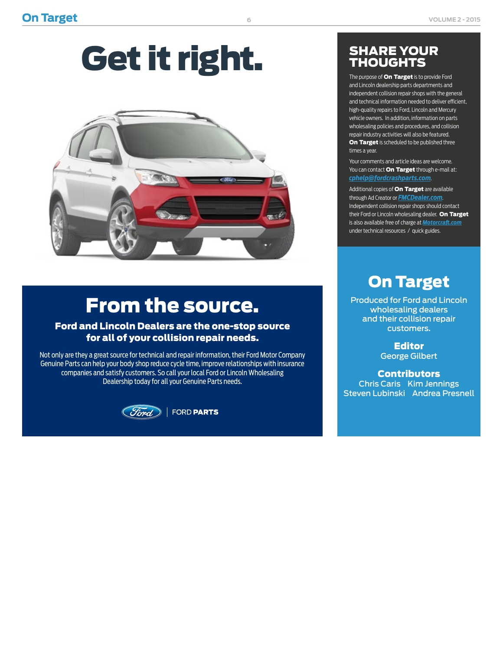# Get it right.



# From the source.

#### Ford and Lincoln Dealers are the one-stop source for all of your collision repair needs.

Not only are they a great source for technical and repair information, their Ford Motor Company Genuine Parts can help your body shop reduce cycle time, improve relationships with insurance companies and satisfy customers. So call your local Ford or Lincoln Wholesaling Dealership today for all your Genuine Parts needs.



FORD PARTS

### SHARE YOUR **THOUGHTS**

The purpose of **On Target** is to provide Ford and Lincoln dealership parts departments and independent collision repair shops with the general and technical information needed to deliver efficient, high-quality repairs to Ford, Lincoln and Mercury vehicle owners. In addition, information on parts wholesaling policies and procedures, and collision repair industry activities will also be featured. On Target is scheduled to be published three times a year.

Your comments and article ideas are welcome. You can contact **On Target** through e-mail at: *[cphelp@fordcrashparts.com](mailto:cphelp%40fordcrashparts.com?subject=)*.

Additional copies of **On Target** are available through Ad Creator or *[FMCDealer.com](https://www.wslx.dealerconnection.com)*. Independent collision repair shops should contact their Ford or Lincoln wholesaling dealer. On Target is also available free of charge at *[Motorcraft.com](http://Motorcraft.com)* under technical resources / quick guides.

## On Target

Produced for Ford and Lincoln wholesaling dealers and their collision repair customers.

> Editor George Gilbert

**Contributors** Chris Caris Kim Jennings Steven Lubinski Andrea Presnell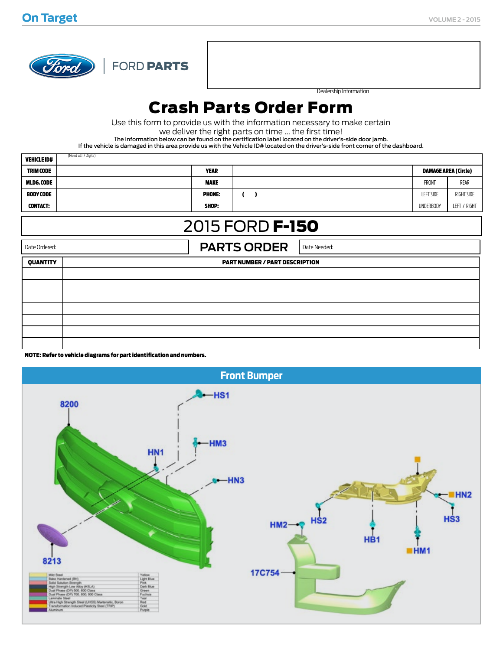

FORD PARTS

Dealership Information

## Crash Parts Order Form

Use this form to provide us with the information necessary to make certain

we deliver the right parts on time ... the first time!

The information below can be found on the certification label located on the driver's-side door jamb.

If the vehicle is damaged in this area provide us with the Vehicle ID# located on the driver's-side front corner of the dashboard.

| <b>VEHICLE ID#</b>                                       | (Need all 17 Digits) |                     |  |                             |              |  |  |
|----------------------------------------------------------|----------------------|---------------------|--|-----------------------------|--------------|--|--|
| <b>TRIM CODE</b>                                         | <b>YEAR</b>          |                     |  | <b>DAMAGE AREA (Circle)</b> |              |  |  |
| MLDG. CODE                                               | <b>MAKE</b>          |                     |  | <b>FRONT</b>                | REAR         |  |  |
| <b>BODY CODE</b>                                         | <b>PHONE:</b>        | $\mathbf{r}$<br>- 1 |  | <b>LEFT SIDE</b>            | RIGHT SIDE   |  |  |
| <b>CONTACT:</b>                                          | SHOP:                |                     |  | <b>UNDERBODY</b>            | LEFT / RIGHT |  |  |
| 2015 FORD <b>F-150</b>                                   |                      |                     |  |                             |              |  |  |
| <b>PARTS ORDER</b><br>Date Ordered:<br>Date Needed:      |                      |                     |  |                             |              |  |  |
| <b>QUANTITY</b><br><b>PART NUMBER / PART DESCRIPTION</b> |                      |                     |  |                             |              |  |  |
|                                                          |                      |                     |  |                             |              |  |  |
|                                                          |                      |                     |  |                             |              |  |  |
|                                                          |                      |                     |  |                             |              |  |  |
|                                                          |                      |                     |  |                             |              |  |  |
|                                                          |                      |                     |  |                             |              |  |  |
|                                                          |                      |                     |  |                             |              |  |  |
|                                                          |                      |                     |  |                             |              |  |  |

NOTE: Refer to vehicle diagrams for part identification and numbers.